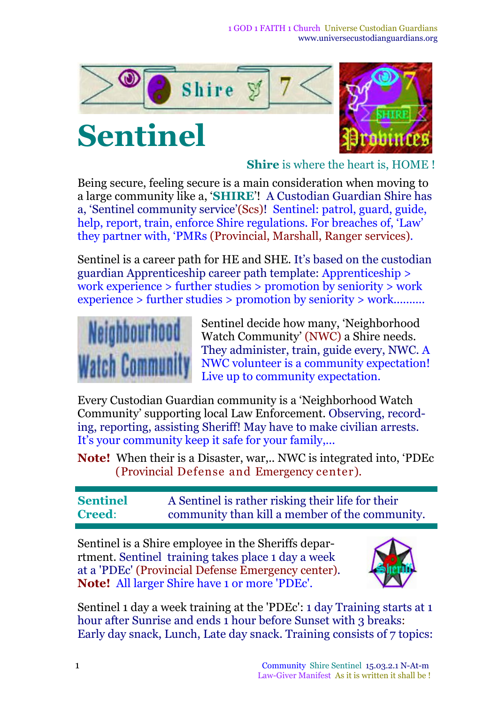1 GOD 1 FAITH 1 Church Universe Custodian Guardians www.universecustodianguardians.org



# **Sentinel**



**Shire** is where the heart is, HOME !

Being secure, feeling secure is a main consideration when moving to a large community like a, '**SHIRE**'! A Custodian Guardian Shire has a, 'Sentinel community service'(Scs)! Sentinel: patrol, guard, guide, help, report, train, enforce Shire regulations. For breaches of, 'Law' they partner with, 'PMRs (Provincial, Marshall, Ranger services).

Sentinel is a career path for HE and SHE. It's based on the custodian guardian Apprenticeship career path template: Apprenticeship > work experience > further studies > promotion by seniority > work experience > further studies > promotion by seniority > work..........



Sentinel decide how many, 'Neighborhood Watch Community' (NWC) a Shire needs. They administer, train, guide every, NWC. A NWC volunteer is a community expectation! Live up to community expectation.

Every Custodian Guardian community is a 'Neighborhood Watch Community' supporting local Law Enforcement. Observing, recording, reporting, assisting Sheriff! May have to make civilian arrests. It's your community keep it safe for your family,...

**Note!** When their is a Disaster, war,.. NWC is integrated into, 'PDEc (Provincial Defense and Emergency center).

**Sentinel Creed**: A Sentinel is rather risking their life for their community than kill a member of the community.

Sentinel is a Shire employee in the Sheriffs deparrtment. Sentinel training takes place 1 day a week at a 'PDEc' (Provincial Defense Emergency center). **Note!** All larger Shire have 1 or more 'PDEc'.



Sentinel 1 day a week training at the 'PDEc': 1 day Training starts at 1 hour after Sunrise and ends 1 hour before Sunset with 3 breaks: Early day snack, Lunch, Late day snack. Training consists of 7 topics: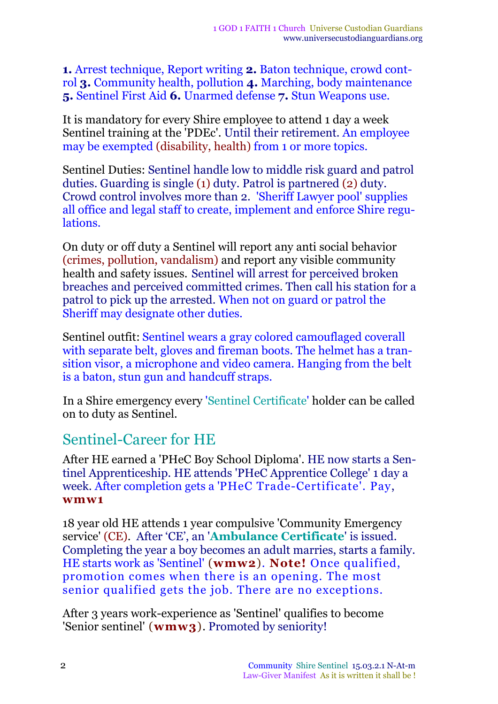**1.** Arrest technique, Report writing **2.** Baton technique, crowd control **3.** Community health, pollution **4.** Marching, body maintenance **5.** Sentinel First Aid **6.** Unarmed defense **7.** Stun Weapons use.

It is mandatory for every Shire employee to attend 1 day a week Sentinel training at the 'PDEc'. Until their retirement. An employee may be exempted (disability, health) from 1 or more topics.

Sentinel Duties: Sentinel handle low to middle risk guard and patrol duties. Guarding is single (1) duty. Patrol is partnered (2) duty. Crowd control involves more than 2. 'Sheriff Lawyer pool' supplies all office and legal staff to create, implement and enforce Shire regulations.

On duty or off duty a Sentinel will report any anti social behavior (crimes, pollution, vandalism) and report any visible community health and safety issues. Sentinel will arrest for perceived broken breaches and perceived committed crimes. Then call his station for a patrol to pick up the arrested. When not on guard or patrol the Sheriff may designate other duties.

Sentinel outfit: Sentinel wears a gray colored camouflaged coverall with separate belt, gloves and fireman boots. The helmet has a transition visor, a microphone and video camera. Hanging from the belt is a baton, stun gun and handcuff straps.

In a Shire emergency every 'Sentinel Certificate' holder can be called on to duty as Sentinel.

#### Sentinel-Career for HE

After HE earned a 'PHeC Boy School Diploma'. HE now starts a Sentinel Apprenticeship. HE attends 'PHeC Apprentice College' 1 day a week. After completion gets a 'PHeC Trade-Certificate'. Pay, **wmw1**

18 year old HE attends 1 year compulsive 'Community Emergency service' (CE). After 'CE', an '**Ambulance Certificate**' is issued. Completing the year a boy becomes an adult marries, starts a family. HE starts work as 'Sentinel' (**wmw2**)*.* **Note!** Once qualified, promotion comes when there is an opening. The most senior qualified gets the job. There are no exceptions.

After 3 years work-experience as 'Sentinel' qualifies to become 'Senior sentinel' (**wmw3**). Promoted by seniority!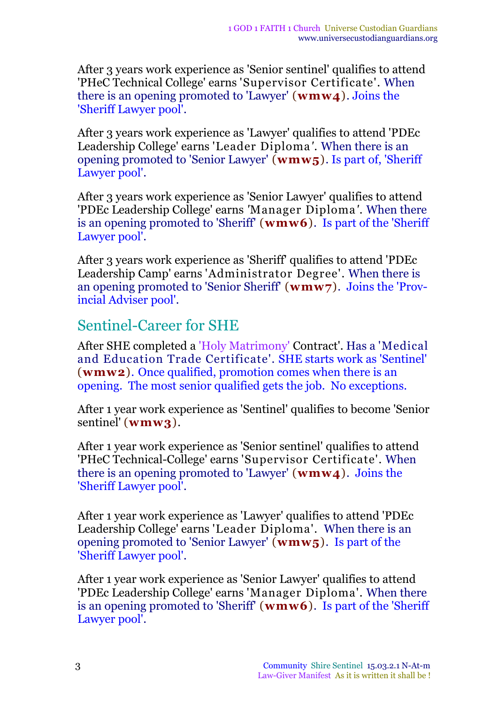After 3 years work experience as 'Senior sentinel' qualifies to attend 'PHeC Technical College' earns 'Supervisor Certificate'. When there is an opening promoted to 'Lawyer' (**wmw4**). Joins the 'Sheriff Lawyer pool'.

After 3 years work experience as 'Lawyer' qualifies to attend 'PDEc Leadership College' earns 'Leader Diploma*'*. When there is an opening promoted to 'Senior Lawyer' (**wmw5**). Is part of, 'Sheriff Lawyer pool'.

After 3 years work experience as 'Senior Lawyer' qualifies to attend 'PDEc Leadership College' earns *'*Manager Diploma*'*. When there is an opening promoted to 'Sheriff' (**wmw6**). Is part of the 'Sheriff Lawyer pool'.

After 3 years work experience as 'Sheriff' qualifies to attend 'PDEc Leadership Camp' earns 'Administrator Degree'. When there is an opening promoted to 'Senior Sheriff' (**wmw7**). Joins the 'Provincial Adviser pool'.

#### Sentinel-Career for SHE

After SHE completed a 'Holy Matrimony' Contract'. Has a 'Medical and Education Trade Certificate'*.* SHE starts work as 'Sentinel' (**wmw2**)*.* Once qualified, promotion comes when there is an opening. The most senior qualified gets the job. No exceptions.

After 1 year work experience as 'Sentinel' qualifies to become 'Senior sentinel' (**wmw3**).

After 1 year work experience as 'Senior sentinel' qualifies to attend 'PHeC Technical-College' earns 'Supervisor Certificate'. When there is an opening promoted to 'Lawyer' (**wmw4**). Joins the 'Sheriff Lawyer pool'.

After 1 year work experience as 'Lawyer' qualifies to attend 'PDEc Leadership College' earns 'Leader Diploma'. When there is an opening promoted to 'Senior Lawyer' (**wmw5**). Is part of the 'Sheriff Lawyer pool'.

After 1 year work experience as 'Senior Lawyer' qualifies to attend 'PDEc Leadership College' earns 'Manager Diploma'. When there is an opening promoted to 'Sheriff' (**wmw6**). Is part of the 'Sheriff Lawyer pool'.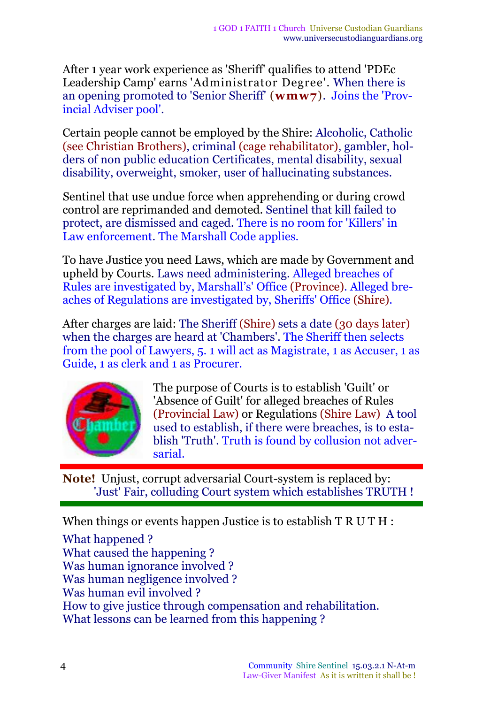After 1 year work experience as 'Sheriff' qualifies to attend 'PDEc Leadership Camp' earns 'Administrator Degree'. When there is an opening promoted to 'Senior Sheriff' (**wmw7**). Joins the 'Provincial Adviser pool'.

Certain people cannot be employed by the Shire: Alcoholic, Catholic (see Christian Brothers), criminal (cage rehabilitator), gambler, holders of non public education Certificates, mental disability, sexual disability, overweight, smoker, user of hallucinating substances.

Sentinel that use undue force when apprehending or during crowd control are reprimanded and demoted. Sentinel that kill failed to protect, are dismissed and caged. There is no room for 'Killers' in Law enforcement. The Marshall Code applies.

To have Justice you need Laws, which are made by Government and upheld by Courts. Laws need administering. Alleged breaches of Rules are investigated by, Marshall's' Office (Province). Alleged breaches of Regulations are investigated by, Sheriffs' Office (Shire).

After charges are laid: The Sheriff (Shire) sets a date (30 days later) when the charges are heard at 'Chambers'. The Sheriff then selects from the pool of Lawyers, 5. 1 will act as Magistrate, 1 as Accuser, 1 as Guide, 1 as clerk and 1 as Procurer.



The purpose of Courts is to establish 'Guilt' or 'Absence of Guilt' for alleged breaches of Rules (Provincial Law) or Regulations (Shire Law) A tool used to establish, if there were breaches, is to establish 'Truth'. Truth is found by collusion not adversarial.

**Note!** Unjust, corrupt adversarial Court-system is replaced by: 'Just' Fair, colluding Court system which establishes TRUTH !

When things or events happen Justice is to establish  $T R U T H$ :

What happened ? What caused the happening ? Was human ignorance involved ? Was human negligence involved ? Was human evil involved ? How to give justice through compensation and rehabilitation. What lessons can be learned from this happening ?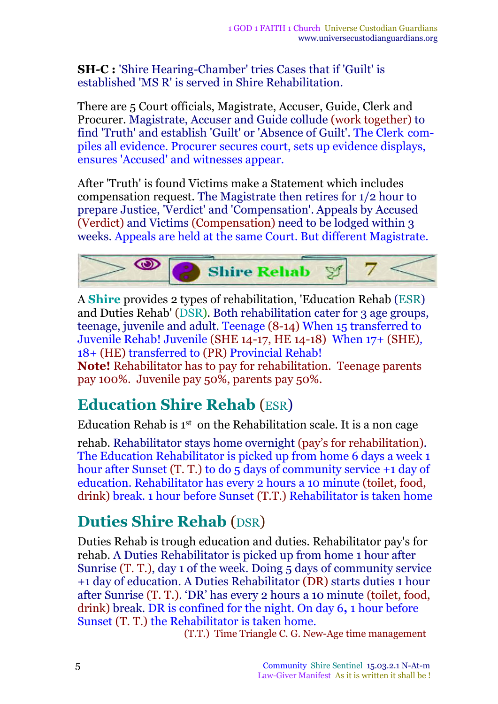**SH***-***C :** 'Shire Hearing-Chamber' tries Cases that if 'Guilt' is established 'MS R' is served in Shire Rehabilitation.

There are 5 Court officials, Magistrate, Accuser, Guide, Clerk and Procurer. Magistrate, Accuser and Guide collude (work together) to find 'Truth' and establish 'Guilt' or 'Absence of Guilt'. The Clerk compiles all evidence. Procurer secures court, sets up evidence displays, ensures 'Accused' and witnesses appear.

After 'Truth' is found Victims make a Statement which includes compensation request. The Magistrate then retires for 1/2 hour to prepare Justice, 'Verdict' and 'Compensation'. Appeals by Accused (Verdict) and Victims (Compensation) need to be lodged within 3 weeks. Appeals are held at the same Court. But different Magistrate.



A **Shire** provides 2 types of rehabilitation, 'Education Rehab (ESR) and Duties Rehab' (DSR). Both rehabilitation cater for 3 age groups, teenage, juvenile and adult. Teenage (8-14) When 15 transferred to Juvenile Rehab! Juvenile (SHE 14-17, HE 14-18) When 17+ (SHE)*,* 18*+* (HE) transferred to (PR) Provincial Rehab!

**Note!** Rehabilitator has to pay for rehabilitation. Teenage parents pay 100%. Juvenile pay 50%, parents pay 50%.

### **Education Shire Rehab** (ESR)

Education Rehab is  $1<sup>st</sup>$  on the Rehabilitation scale. It is a non cage

rehab. Rehabilitator stays home overnight (pay's for rehabilitation). The Education Rehabilitator is picked up from home 6 days a week 1 hour after Sunset (T. T.) to do 5 days of community service +1 day of education. Rehabilitator has every 2 hours a 10 minute (toilet, food, drink) break. 1 hour before Sunset (T.T.) Rehabilitator is taken home

## **Duties Shire Rehab** (DSR)

Duties Rehab is trough education and duties. Rehabilitator pay's for rehab. A Duties Rehabilitator is picked up from home 1 hour after Sunrise (T. T.), day 1 of the week. Doing 5 days of community service +1 day of education. A Duties Rehabilitator (DR) starts duties 1 hour after Sunrise (T. T.). 'DR' has every 2 hours a 10 minute (toilet, food, drink) break. DR is confined for the night. On day 6**,** 1 hour before Sunset (T. T.) the Rehabilitator is taken home.

(T.T.) Time Triangle C. G. New-Age time management